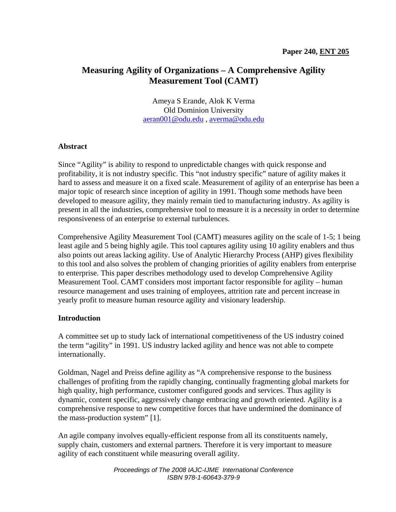# **Measuring Agility of Organizations – A Comprehensive Agility Measurement Tool (CAMT)**

Ameya S Erande, Alok K Verma Old Dominion University aeran001@odu.edu , averma@odu.edu

### **Abstract**

Since "Agility" is ability to respond to unpredictable changes with quick response and profitability, it is not industry specific. This "not industry specific" nature of agility makes it hard to assess and measure it on a fixed scale. Measurement of agility of an enterprise has been a major topic of research since inception of agility in 1991. Though some methods have been developed to measure agility, they mainly remain tied to manufacturing industry. As agility is present in all the industries, comprehensive tool to measure it is a necessity in order to determine responsiveness of an enterprise to external turbulences.

Comprehensive Agility Measurement Tool (CAMT) measures agility on the scale of 1-5; 1 being least agile and 5 being highly agile. This tool captures agility using 10 agility enablers and thus also points out areas lacking agility. Use of Analytic Hierarchy Process (AHP) gives flexibility to this tool and also solves the problem of changing priorities of agility enablers from enterprise to enterprise. This paper describes methodology used to develop Comprehensive Agility Measurement Tool. CAMT considers most important factor responsible for agility – human resource management and uses training of employees, attrition rate and percent increase in yearly profit to measure human resource agility and visionary leadership.

### **Introduction**

A committee set up to study lack of international competitiveness of the US industry coined the term "agility" in 1991. US industry lacked agility and hence was not able to compete internationally.

Goldman, Nagel and Preiss define agility as "A comprehensive response to the business challenges of profiting from the rapidly changing, continually fragmenting global markets for high quality, high performance, customer configured goods and services. Thus agility is dynamic, content specific, aggressively change embracing and growth oriented. Agility is a comprehensive response to new competitive forces that have undermined the dominance of the mass-production system" [1].

An agile company involves equally-efficient response from all its constituents namely, supply chain, customers and external partners. Therefore it is very important to measure agility of each constituent while measuring overall agility.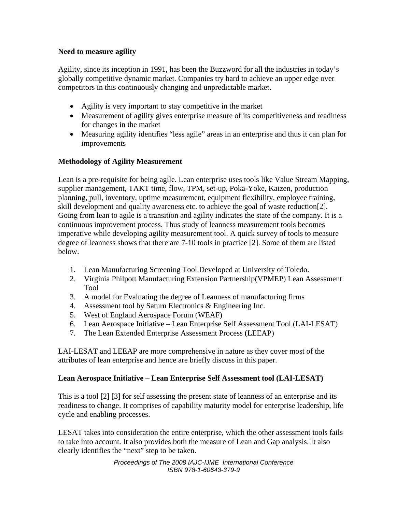## **Need to measure agility**

Agility, since its inception in 1991, has been the Buzzword for all the industries in today's globally competitive dynamic market. Companies try hard to achieve an upper edge over competitors in this continuously changing and unpredictable market.

- Agility is very important to stay competitive in the market
- Measurement of agility gives enterprise measure of its competitiveness and readiness for changes in the market
- Measuring agility identifies "less agile" areas in an enterprise and thus it can plan for improvements

# **Methodology of Agility Measurement**

Lean is a pre-requisite for being agile. Lean enterprise uses tools like Value Stream Mapping, supplier management, TAKT time, flow, TPM, set-up, Poka-Yoke, Kaizen, production planning, pull, inventory, uptime measurement, equipment flexibility, employee training, skill development and quality awareness etc. to achieve the goal of waste reduction[2]. Going from lean to agile is a transition and agility indicates the state of the company. It is a continuous improvement process. Thus study of leanness measurement tools becomes imperative while developing agility measurement tool. A quick survey of tools to measure degree of leanness shows that there are 7-10 tools in practice [2]. Some of them are listed below.

- 1. Lean Manufacturing Screening Tool Developed at University of Toledo.
- 2. Virginia Philpott Manufacturing Extension Partnership(VPMEP) Lean Assessment Tool
- 3. A model for Evaluating the degree of Leanness of manufacturing firms
- 4. Assessment tool by Saturn Electronics & Engineering Inc.
- 5. West of England Aerospace Forum (WEAF)
- 6. Lean Aerospace Initiative Lean Enterprise Self Assessment Tool (LAI-LESAT)
- 7. The Lean Extended Enterprise Assessment Process (LEEAP)

LAI-LESAT and LEEAP are more comprehensive in nature as they cover most of the attributes of lean enterprise and hence are briefly discuss in this paper.

# **Lean Aerospace Initiative – Lean Enterprise Self Assessment tool (LAI-LESAT)**

This is a tool [2] [3] for self assessing the present state of leanness of an enterprise and its readiness to change. It comprises of capability maturity model for enterprise leadership, life cycle and enabling processes.

LESAT takes into consideration the entire enterprise, which the other assessment tools fails to take into account. It also provides both the measure of Lean and Gap analysis. It also clearly identifies the "next" step to be taken.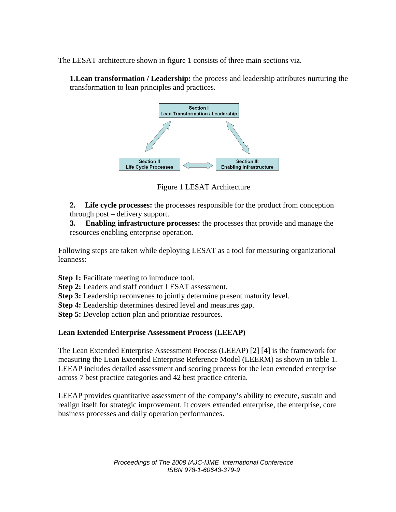The LESAT architecture shown in figure 1 consists of three main sections viz.

**1.Lean transformation / Leadership:** the process and leadership attributes nurturing the transformation to lean principles and practices.



Figure 1 LESAT Architecture

**2. Life cycle processes:** the processes responsible for the product from conception through post – delivery support.

**3. Enabling infrastructure processes:** the processes that provide and manage the resources enabling enterprise operation.

Following steps are taken while deploying LESAT as a tool for measuring organizational leanness:

**Step 1:** Facilitate meeting to introduce tool.

**Step 2:** Leaders and staff conduct LESAT assessment.

**Step 3:** Leadership reconvenes to jointly determine present maturity level.

**Step 4:** Leadership determines desired level and measures gap.

**Step 5:** Develop action plan and prioritize resources.

# **Lean Extended Enterprise Assessment Process (LEEAP)**

The Lean Extended Enterprise Assessment Process (LEEAP) [2] [4] is the framework for measuring the Lean Extended Enterprise Reference Model (LEERM) as shown in table 1. LEEAP includes detailed assessment and scoring process for the lean extended enterprise across 7 best practice categories and 42 best practice criteria.

LEEAP provides quantitative assessment of the company's ability to execute, sustain and realign itself for strategic improvement. It covers extended enterprise, the enterprise, core business processes and daily operation performances.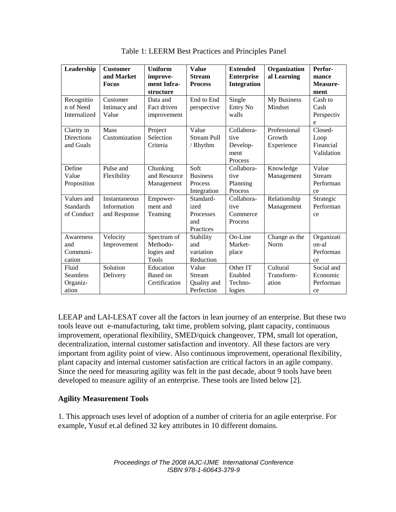| Leadership        | <b>Customer</b> | <b>Uniform</b> | <b>Value</b>       | <b>Extended</b>    | Organization  | Perfor-       |
|-------------------|-----------------|----------------|--------------------|--------------------|---------------|---------------|
|                   | and Market      | improve-       | <b>Stream</b>      | <b>Enterprise</b>  | al Learning   | mance         |
|                   | <b>Focus</b>    | ment Infra-    | <b>Process</b>     | <b>Integration</b> |               | Measure-      |
|                   |                 | structure      |                    |                    |               | ment          |
| Recognitio        | Customer        | Data and       | End to End         | Single             | My Business   | Cash to       |
| n of Need         | Intimacy and    | Fact driven    | perspective        | Entry No           | Mindset       | Cash          |
| Internalized      | Value           | improvement    |                    | walls              |               | Perspectiv    |
|                   |                 |                |                    |                    |               | e             |
| Clarity in        | <b>Mass</b>     | Project        | Value              | Collabora-         | Professional  | Closed-       |
| <b>Directions</b> | Customization   | Selection      | <b>Stream Pull</b> | tive               | Growth        | Loop          |
| and Goals         |                 | Criteria       | / Rhythm           | Develop-           | Experience    | Financial     |
|                   |                 |                |                    | ment               |               | Validation    |
|                   |                 |                |                    | Process            |               |               |
| Define            | Pulse and       | Chunking       | Soft               | Collabora-         | Knowledge     | Value         |
| Value             | Flexibility     | and Resource   | <b>Business</b>    | tive               | Management    | <b>Stream</b> |
| Proposition       |                 | Management     | Process            | Planning           |               | Performan     |
|                   |                 |                | Integration        | Process            |               | ce            |
| Values and        | Instantaneous   | Empower-       | Standard-          | Collabora-         | Relationship  | Strategic     |
| <b>Standards</b>  | Information     | ment and       | ized               | tive               | Management    | Performan     |
| of Conduct        | and Response    | Teaming        | Processes          | Commerce           |               | ce            |
|                   |                 |                | and                | Process            |               |               |
|                   |                 |                | Practices          |                    |               |               |
| Awareness         | Velocity        | Spectrum of    | Stability          | On-Line            | Change as the | Organizati    |
| and               | Improvement     | Methodo-       | and                | Market-            | Norm          | on-al         |
| Communi-          |                 | logies and     | variation          | place              |               | Performan     |
| cation            |                 | Tools          | Reduction          |                    |               | ce            |
| Fluid             | Solution        | Education      | Value              | Other IT           | Cultural      | Social and    |
| <b>Seamless</b>   | Delivery        | Based on       | <b>Stream</b>      | Enabled            | Transform-    | Economic      |
| Organiz-          |                 | Certification  | Quality and        | Techno-            | ation         | Performan     |
| ation             |                 |                | Perfection         | logies             |               | ce            |

Table 1: LEERM Best Practices and Principles Panel

LEEAP and LAI-LESAT cover all the factors in lean journey of an enterprise. But these two tools leave out e-manufacturing, takt time, problem solving, plant capacity, continuous improvement, operational flexibility, SMED/quick changeover, TPM, small lot operation, decentralization, internal customer satisfaction and inventory. All these factors are very important from agility point of view. Also continuous improvement, operational flexibility, plant capacity and internal customer satisfaction are critical factors in an agile company. Since the need for measuring agility was felt in the past decade, about 9 tools have been developed to measure agility of an enterprise. These tools are listed below [2].

### **Agility Measurement Tools**

1. This approach uses level of adoption of a number of criteria for an agile enterprise. For example, Yusuf et.al defined 32 key attributes in 10 different domains.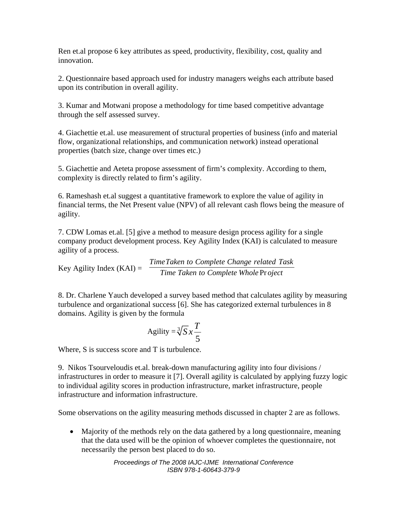Ren et.al propose 6 key attributes as speed, productivity, flexibility, cost, quality and innovation.

2. Questionnaire based approach used for industry managers weighs each attribute based upon its contribution in overall agility.

3. Kumar and Motwani propose a methodology for time based competitive advantage through the self assessed survey.

4. Giachettie et.al. use measurement of structural properties of business (info and material flow, organizational relationships, and communication network) instead operational properties (batch size, change over times etc.)

5. Giachettie and Aeteta propose assessment of firm's complexity. According to them, complexity is directly related to firm's agility.

6. Rameshash et.al suggest a quantitative framework to explore the value of agility in financial terms, the Net Present value (NPV) of all relevant cash flows being the measure of agility.

7. CDW Lomas et.al. [5] give a method to measure design process agility for a single company product development process. Key Agility Index (KAI) is calculated to measure agility of a process.

Key Agility Index  $(KAI) =$ **Time Taken to Complete Whole Project** *TimeTaken to Complete Change related Task*

8. Dr. Charlene Yauch developed a survey based method that calculates agility by measuring turbulence and organizational success [6]. She has categorized external turbulences in 8 domains. Agility is given by the formula

$$
Agility = \sqrt[3]{S}x\frac{T}{5}
$$

Where, S is success score and T is turbulence.

9. Nikos Tsourveloudis et.al. break-down manufacturing agility into four divisions / infrastructures in order to measure it [7]. Overall agility is calculated by applying fuzzy logic to individual agility scores in production infrastructure, market infrastructure, people infrastructure and information infrastructure.

Some observations on the agility measuring methods discussed in chapter 2 are as follows.

• Majority of the methods rely on the data gathered by a long questionnaire, meaning that the data used will be the opinion of whoever completes the questionnaire, not necessarily the person best placed to do so.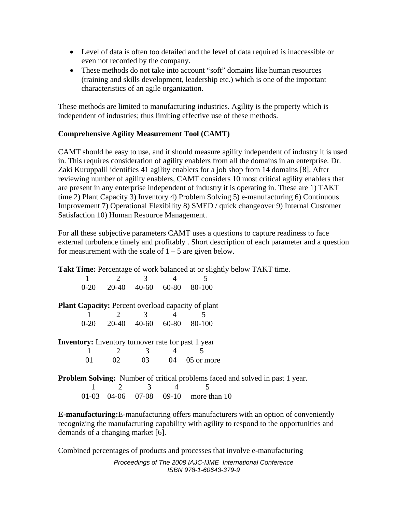- Level of data is often too detailed and the level of data required is inaccessible or even not recorded by the company.
- These methods do not take into account "soft" domains like human resources (training and skills development, leadership etc.) which is one of the important characteristics of an agile organization.

These methods are limited to manufacturing industries. Agility is the property which is independent of industries; thus limiting effective use of these methods.

## **Comprehensive Agility Measurement Tool (CAMT)**

CAMT should be easy to use, and it should measure agility independent of industry it is used in. This requires consideration of agility enablers from all the domains in an enterprise. Dr. Zaki Kuruppalil identifies 41 agility enablers for a job shop from 14 domains [8]. After reviewing number of agility enablers, CAMT considers 10 most critical agility enablers that are present in any enterprise independent of industry it is operating in. These are 1) TAKT time 2) Plant Capacity 3) Inventory 4) Problem Solving 5) e-manufacturing 6) Continuous Improvement 7) Operational Flexibility 8) SMED / quick changeover 9) Internal Customer Satisfaction 10) Human Resource Management.

For all these subjective parameters CAMT uses a questions to capture readiness to face external turbulence timely and profitably . Short description of each parameter and a question for measurement with the scale of  $1 - 5$  are given below.

Takt Time: Percentage of work balanced at or slightly below TAKT time.

|  |  | $0-20$ $20-40$ $40-60$ $60-80$ $80-100$ |
|--|--|-----------------------------------------|

**Plant Capacity:** Percent overload capacity of plant

|  |  | $0-20$ $20-40$ $40-60$ $60-80$ $80-100$ |
|--|--|-----------------------------------------|

**Inventory:** Inventory turnover rate for past 1 year 1 2 3 4 5 01 02 03 04 05 or more

**Problem Solving:** Number of critical problems faced and solved in past 1 year. 1 2 3 4 5

01-03 04-06 07-08 09-10 more than 10

**E-manufacturing:**E-manufacturing offers manufacturers with an option of conveniently recognizing the manufacturing capability with agility to respond to the opportunities and demands of a changing market [6].

Combined percentages of products and processes that involve e-manufacturing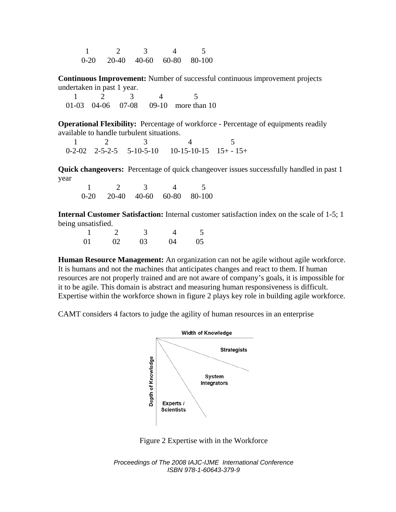1 2 3 4 5 0-20 20-40 40-60 60-80 80-100

**Continuous Improvement:** Number of successful continuous improvement projects undertaken in past 1 year.

 1 2 3 4 5 01-03 04-06 07-08 09-10 more than 10

**Operational Flexibility:** Percentage of workforce - Percentage of equipments readily available to handle turbulent situations.

1 2 3 4 5  $0-2-02$   $2-5-2-5$   $5-10-5-10$   $10-15-10-15$   $15+ -15+$ 

**Quick changeovers:** Percentage of quick changeover issues successfully handled in past 1 year

 1 2 3 4 5 0-20 20-40 40-60 60-80 80-100

**Internal Customer Satisfaction:** Internal customer satisfaction index on the scale of 1-5; 1 being unsatisfied.

|    | $\sim$ 3 |                 | $\sim$ 5 |
|----|----------|-----------------|----------|
| 01 | 02 03    | $\overline{04}$ | 05       |

**Human Resource Management:** An organization can not be agile without agile workforce. It is humans and not the machines that anticipates changes and react to them. If human resources are not properly trained and are not aware of company's goals, it is impossible for it to be agile. This domain is abstract and measuring human responsiveness is difficult. Expertise within the workforce shown in figure 2 plays key role in building agile workforce.

CAMT considers 4 factors to judge the agility of human resources in an enterprise



Figure 2 Expertise with in the Workforce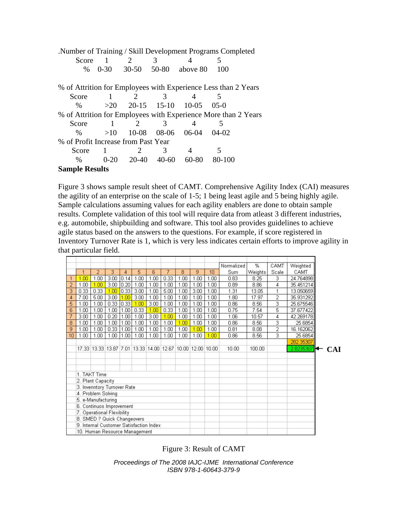| Number of Training / Skill Development Programs Completed      |                |                   |                 |          |                                                                |  |  |  |  |  |  |
|----------------------------------------------------------------|----------------|-------------------|-----------------|----------|----------------------------------------------------------------|--|--|--|--|--|--|
| Score                                                          | $\overline{1}$ | 2                 | 3               |          |                                                                |  |  |  |  |  |  |
| $\%$                                                           | $0 - 30$       |                   | $30-50$ $50-80$ | above 80 | 100                                                            |  |  |  |  |  |  |
| % of Attrition for Employees with Experience Less than 2 Years |                |                   |                 |          |                                                                |  |  |  |  |  |  |
| Score                                                          | $\overline{1}$ | 2                 | 3               |          |                                                                |  |  |  |  |  |  |
| $\frac{0}{0}$                                                  |                | $>20$ 20-15 15-10 |                 | $10-0.5$ | $05-0$                                                         |  |  |  |  |  |  |
|                                                                |                |                   |                 |          | % of Attrition for Employees with Experience More than 2 Years |  |  |  |  |  |  |
| Score                                                          | 1              | 2                 | 3               |          |                                                                |  |  |  |  |  |  |
| $\frac{0}{0}$                                                  | >10            | $10-08$           | 08-06           | 06-04    | $04-02$                                                        |  |  |  |  |  |  |
| % of Profit Increase from Past Year                            |                |                   |                 |          |                                                                |  |  |  |  |  |  |
| Score                                                          | $\overline{1}$ | 2                 | 3               |          | 5                                                              |  |  |  |  |  |  |
| $\frac{0}{0}$                                                  | $0 - 20$       |                   | $20-40$ 40-60   | 60-80    | 80-100                                                         |  |  |  |  |  |  |
| <b>Sample Results</b>                                          |                |                   |                 |          |                                                                |  |  |  |  |  |  |

Figure 3 shows sample result sheet of CAMT. Comprehensive Agility Index (CAI) measures the agility of an enterprise on the scale of 1-5; 1 being least agile and 5 being highly agile. Sample calculations assuming values for each agility enablers are done to obtain sample results. Complete validation of this tool will require data from atleast 3 different industries, e.g. automobile, shipbuilding and software. This tool also provides guidelines to achieve agile status based on the answers to the questions. For example, if score registered in Inventory Turnover Rate is 1, which is very less indicates certain efforts to improve agility in that particular field.

|                               |                             |                   |      |      |      |                                                            |                |      |      |      | Normalized | %       | CAMT           | Weighted  |            |
|-------------------------------|-----------------------------|-------------------|------|------|------|------------------------------------------------------------|----------------|------|------|------|------------|---------|----------------|-----------|------------|
|                               | 1                           | $\overline{2}$    | 3    | 4    | 5    | 6                                                          | $\overline{7}$ | 8    | 9    | 10   | Sum        | Weights | Scale          | CAMT      |            |
| $\mathbf{1}$                  | <b>DO</b>                   | 1.00              | 3.00 | 0.14 | 1.00 | 1.00                                                       | 0.33           | 1.00 | 1.00 | 1.00 | 0.83       | 8.25    | з              | 24.764898 |            |
| $\overline{2}$                | 1.00                        | 1.00              | 3.00 | 0.20 | 1.00 | 1.00                                                       | 1.00           | 1.00 | 1.00 | 1.00 | 0.89       | 8.86    | $\overline{4}$ | 35.451214 |            |
| 3                             | 0.33                        | 0.33              | 1.00 | 0.33 | 3.00 | 1.00                                                       | 5.00           | 1.00 | 3.00 | 1.00 | 1.31       | 13.05   | 1              | 13.050659 |            |
| $\overline{4}$                | 7.00                        | 5.00              | 3.00 | 1.00 | 3.00 | 1.00                                                       | 1.00           | 1.00 | 1.00 | 1.00 | 1.80       | 17.97   | 2              | 35.931292 |            |
| 5                             | 1.00                        | 1.00              | 0.33 | 0.33 | 1.00 | 3.00                                                       | 1.00           | 1.00 | 1.00 | 1.00 | 0.86       | 8.56    | $\overline{3}$ | 25.675546 |            |
| 6                             | 1.00                        | 1.00              | 1.00 | 1.00 | 0.33 | 1.00                                                       | 0.33           | 1.00 | 1.00 | 1.00 | 0.75       | 7.54    | 5              | 37.677422 |            |
| $\overline{7}$                | 3.00                        | 1.00              | 0.20 | 1.00 | 1.00 | 3.00                                                       | 1.00           | 1.00 | 1.00 | 1.00 | 1.06       | 10.57   | 4              | 42.269178 |            |
| 8                             | 1.00                        | 1.00              | 1.00 | 1.00 | 1.00 | 1.00                                                       | 1.00           | 1.00 | 1.00 | 1.00 | 0.86       | 8.56    | 3              | 25.6854   |            |
| 9                             | 1.00                        | 1.00              | 0.33 | 1.00 | 1.00 | 1.00                                                       | 1.00           | 1.00 | 1.00 | 1.00 | 0.81       | 8.08    | 2              | 16.162062 |            |
| 10                            | 1.00                        | 1.00              | 1.00 | 1.00 | 1.00 | 1.00                                                       | 1.00           | 1.00 | 1.00 | 1.00 | 0.86       | 8.56    | 3              | 25.6854   |            |
|                               |                             |                   |      |      |      |                                                            |                |      |      |      |            |         |                | 282.35307 |            |
|                               |                             |                   |      |      |      | 17.33 13.33 13.87 7.01 13.33 14.00 12.67 10.00 12.00 10.00 |                |      |      |      | 10.00      | 100.00  |                | 2.8235307 | <b>CAI</b> |
|                               |                             |                   |      |      |      |                                                            |                |      |      |      |            |         |                |           |            |
|                               |                             |                   |      |      |      |                                                            |                |      |      |      |            |         |                |           |            |
|                               |                             |                   |      |      |      |                                                            |                |      |      |      |            |         |                |           |            |
|                               |                             | 1. TAKT Time      |      |      |      |                                                            |                |      |      |      |            |         |                |           |            |
|                               |                             | 2. Plant Capacity |      |      |      |                                                            |                |      |      |      |            |         |                |           |            |
|                               | 3. Invenntory Turnover Rate |                   |      |      |      |                                                            |                |      |      |      |            |         |                |           |            |
|                               | 4. Problem Solving          |                   |      |      |      |                                                            |                |      |      |      |            |         |                |           |            |
|                               | 5. e-Manufacturing          |                   |      |      |      |                                                            |                |      |      |      |            |         |                |           |            |
| 6. Continuos Improvement.     |                             |                   |      |      |      |                                                            |                |      |      |      |            |         |                |           |            |
| 7. Operational Flexibility    |                             |                   |      |      |      |                                                            |                |      |      |      |            |         |                |           |            |
| 8. SMED ? Quick Changeovers   |                             |                   |      |      |      |                                                            |                |      |      |      |            |         |                |           |            |
|                               |                             |                   |      |      |      | 9. Internal Customer Satisfaction Index                    |                |      |      |      |            |         |                |           |            |
| 10. Human Resource Management |                             |                   |      |      |      |                                                            |                |      |      |      |            |         |                |           |            |

Figure 3: Result of CAMT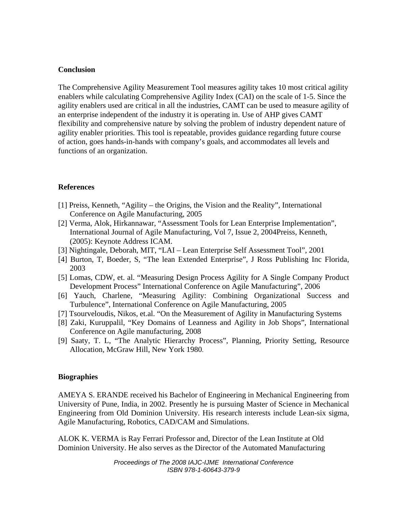#### **Conclusion**

The Comprehensive Agility Measurement Tool measures agility takes 10 most critical agility enablers while calculating Comprehensive Agility Index (CAI) on the scale of 1-5. Since the agility enablers used are critical in all the industries, CAMT can be used to measure agility of an enterprise independent of the industry it is operating in. Use of AHP gives CAMT flexibility and comprehensive nature by solving the problem of industry dependent nature of agility enabler priorities. This tool is repeatable, provides guidance regarding future course of action, goes hands-in-hands with company's goals, and accommodates all levels and functions of an organization.

### **References**

- [1] Preiss, Kenneth, "Agility the Origins, the Vision and the Reality", International Conference on Agile Manufacturing, 2005
- [2] Verma, Alok, Hirkannawar, "Assessment Tools for Lean Enterprise Implementation", International Journal of Agile Manufacturing, Vol 7, Issue 2, 2004Preiss, Kenneth, (2005): Keynote Address ICAM.
- [3] Nightingale, Deborah, MIT, "LAI Lean Enterprise Self Assessment Tool", 2001
- [4] Burton, T, Boeder, S, "The lean Extended Enterprise", J Ross Publishing Inc Florida, 2003
- [5] Lomas, CDW, et. al. "Measuring Design Process Agility for A Single Company Product Development Process" International Conference on Agile Manufacturing", 2006
- [6] Yauch, Charlene, "Measuring Agility: Combining Organizational Success and Turbulence", International Conference on Agile Manufacturing, 2005
- [7] Tsourveloudis, Nikos, et.al. "On the Measurement of Agility in Manufacturing Systems
- [8] Zaki, Kuruppalil, "Key Domains of Leanness and Agility in Job Shops", International Conference on Agile manufacturing, 2008
- [9] Saaty, T. L, "The Analytic Hierarchy Process", Planning, Priority Setting, Resource Allocation, McGraw Hill, New York 1980.

#### **Biographies**

AMEYA S. ERANDE received his Bachelor of Engineering in Mechanical Engineering from University of Pune, India, in 2002. Presently he is pursuing Master of Science in Mechanical Engineering from Old Dominion University. His research interests include Lean-six sigma, Agile Manufacturing, Robotics, CAD/CAM and Simulations.

ALOK K. VERMA is Ray Ferrari Professor and, Director of the Lean Institute at Old Dominion University. He also serves as the Director of the Automated Manufacturing